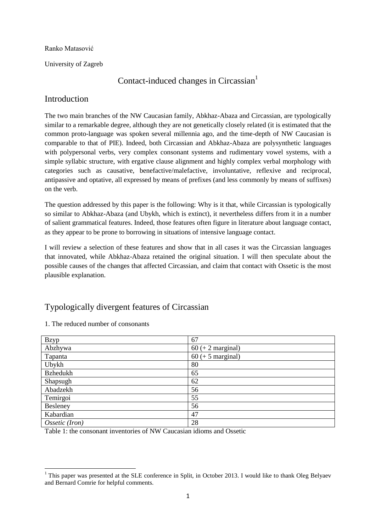#### Ranko Matasović

University of Zagreb

# Contact-induced changes in Circassian<sup>1</sup>

## Introduction

The two main branches of the NW Caucasian family, Abkhaz-Abaza and Circassian, are typologically similar to a remarkable degree, although they are not genetically closely related (it is estimated that the common proto-language was spoken several millennia ago, and the time-depth of NW Caucasian is comparable to that of PIE). Indeed, both Circassian and Abkhaz-Abaza are polysynthetic languages with polypersonal verbs, very complex consonant systems and rudimentary vowel systems, with a simple syllabic structure, with ergative clause alignment and highly complex verbal morphology with categories such as causative, benefactive/malefactive, involuntative, reflexive and reciprocal, antipassive and optative, all expressed by means of prefixes (and less commonly by means of suffixes) on the verb.

The question addressed by this paper is the following: Why is it that, while Circassian is typologically so similar to Abkhaz-Abaza (and Ubykh, which is extinct), it nevertheless differs from it in a number of salient grammatical features. Indeed, those features often figure in literature about language contact, as they appear to be prone to borrowing in situations of intensive language contact.

I will review a selection of these features and show that in all cases it was the Circassian languages that innovated, while Abkhaz-Abaza retained the original situation. I will then speculate about the possible causes of the changes that affected Circassian, and claim that contact with Ossetic is the most plausible explanation.

# Typologically divergent features of Circassian

| <b>Bzyp</b>     | 67                  |
|-----------------|---------------------|
| Abzhywa         | $60 (+ 2 marginal)$ |
| Tapanta         | $60 (+ 5$ marginal) |
| Ubykh           | 80                  |
| <b>Bzhedukh</b> | 65                  |
| Shapsugh        | 62                  |
| Abadzekh        | 56                  |
| Temirgoi        | 55                  |
| Besleney        | 56                  |
| Kabardian       | 47                  |
| Ossetic (Iron)  | 28                  |

1. The reduced number of consonants

Table 1: the consonant inventories of NW Caucasian idioms and Ossetic

<sup>1</sup>  $1$  This paper was presented at the SLE conference in Split, in October 2013. I would like to thank Oleg Belyaev and Bernard Comrie for helpful comments.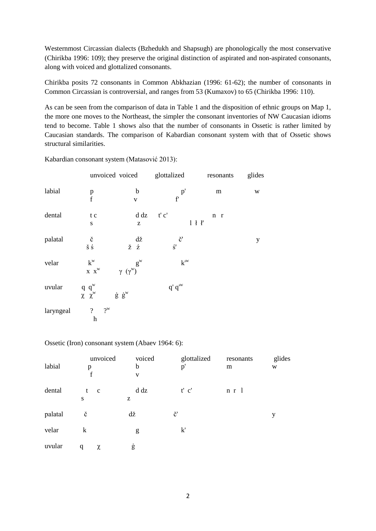Westernmost Circassian dialects (Bzhedukh and Shapsugh) are phonologically the most conservative (Chirikba 1996: 109); they preserve the original distinction of aspirated and non-aspirated consonants, along with voiced and glottalized consonants.

Chirikba posits 72 consonants in Common Abkhazian (1996: 61-62); the number of consonants in Common Circassian is controversial, and ranges from 53 (Kumaxov) to 65 (Chirikba 1996: 110).

As can be seen from the comparison of data in Table 1 and the disposition of ethnic groups on Map 1, the more one moves to the Northeast, the simpler the consonant inventories of NW Caucasian idioms tend to become. Table 1 shows also that the number of consonants in Ossetic is rather limited by Caucasian standards. The comparison of Kabardian consonant system with that of Ossetic shows structural similarities.

Kabardian consonant system (Matasović 2013):

|           |                                                  | unvoiced voiced                                       | glottalized                                   | resonants             | glides |
|-----------|--------------------------------------------------|-------------------------------------------------------|-----------------------------------------------|-----------------------|--------|
| labial    |                                                  | b                                                     | $\begin{smallmatrix}&p'\\f'\end{smallmatrix}$ | ${\rm m}$             | W      |
|           | $\frac{p}{f}$                                    | $\overline{\mathbf{V}}$                               |                                               |                       |        |
| dental    | t c                                              | d dz                                                  | $t'$ $c'$                                     | $n \rightharpoonup r$ |        |
|           | ${\bf S}$                                        | $\mathbf{Z}% ^{T}=\mathbf{Z}^{T}\times\mathbf{Z}^{T}$ |                                               | $1$ $1$ $1'$          |        |
| palatal   | č                                                | dž                                                    | č'                                            |                       | y      |
|           | $\check{\textrm{s}}$ $\acute{\textrm{s}}$        | žź                                                    | $\acute{\textrm{s}}'$                         |                       |        |
| velar     | $k^w$                                            | $\gamma (\gamma^w)$ <sup>g<sup>w</sup></sup>          | $k^w$                                         |                       |        |
|           | $\boldsymbol{X} \quad \boldsymbol{X}^{\text{W}}$ |                                                       |                                               |                       |        |
| uvular    | $q q^w$                                          |                                                       | $q'q''$                                       |                       |        |
|           | $\chi \chi^w$                                    | $\dot{g}~\dot{g}^w$                                   |                                               |                       |        |
| laryngeal | $2^w$<br>$\overline{\mathcal{L}}$                |                                                       |                                               |                       |        |
|           | $\mathbf h$                                      |                                                       |                                               |                       |        |

#### Ossetic (Iron) consonant system (Abaev 1964: 6):

| labial  | unvoiced<br>p<br>f     | voiced<br>b<br>$\mathbf V$ | glottalized<br>p' | resonants<br>m | glides<br>W |
|---------|------------------------|----------------------------|-------------------|----------------|-------------|
| dental  | t<br>$\mathbf{c}$<br>S | d dz<br>Z                  | $t'$ $c'$         | $n \rceil$     |             |
| palatal | č                      | dž                         | č'                |                | y           |
| velar   | k                      | g                          | k'                |                |             |
| uvular  | q<br>χ                 | ġ                          |                   |                |             |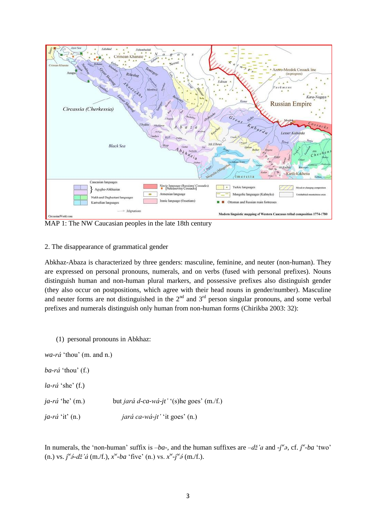

MAP 1: The NW Caucasian peoples in the late 18th century

#### 2. The disappearance of grammatical gender

Abkhaz-Abaza is characterized by three genders: masculine, feminine, and neuter (non-human). They are expressed on personal pronouns, numerals, and on verbs (fused with personal prefixes). Nouns distinguish human and non-human plural markers, and possessive prefixes also distinguish gender (they also occur on postpositions, which agree with their head nouns in gender/number). Masculine and neuter forms are not distinguished in the  $2<sup>nd</sup>$  and  $3<sup>rd</sup>$  person singular pronouns, and some verbal prefixes and numerals distinguish only human from non-human forms (Chirikba 2003: 32):

(1) personal pronouns in Abkhaz:

*wa-rá* "thou" (m. and n.)

- *ba-rá* "thou" (f.)
- *la-rá* 'she' (f.)
- *ja-rá* 'he' (m.) but *jará d-ca-wá-jt'* '(s)he goes' (m./f.)

*ja-rá* "it" (n.) *jará ca-wá-jt'* "it goes" (n.)

In numerals, the 'non-human' suffix is  $-ba$ , and the human suffixes are  $-d\check{z}a$  and  $-j^{\check{w}}z$ , cf.  $j^{\check{w}}$ -ba 'two' (n.) vs.  $j^{\omega}\hat{\partial}d\tilde{z}$ 'á (m./f.),  $x^{\omega}$ -ba 'five' (n.) vs.  $x^{\omega}$ -j<sup>\v</sup> $\delta$  (m./f.).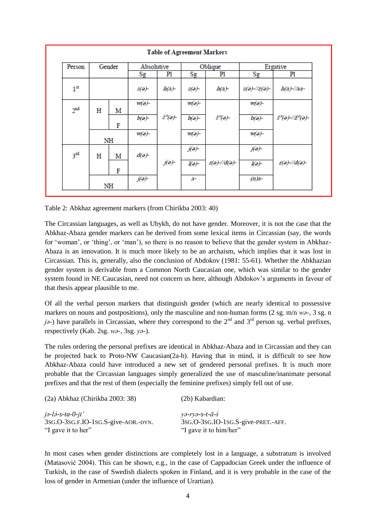| Person          | Gender |    | Absolutive    |          | Oblique         |                               | Ergative                             |                             |
|-----------------|--------|----|---------------|----------|-----------------|-------------------------------|--------------------------------------|-----------------------------|
|                 |        |    | $_{\rm Sg}$   | P1       | $_{\rm Sg}$     | P1                            | $_{\rm Sg}$                          | P1                          |
| 1 <sup>st</sup> |        |    | $s(e)$ -      | $h(a)$ - | $s(e)$ -        | $h(a)$ -                      | $s(\partial)/\partial z(\partial)$ - | $h(a)$ -//aa-               |
| 2 <sup>nd</sup> | н      | M  | $W(a)$ -      |          | $W(a)$ -        |                               | $W(a)$ -                             |                             |
|                 |        | F  | $b(a)$ -      | š°(ə)-   | $b(a)$ -        | $\check{s}^o(\Theta)$ -       | $b(a)$ -                             | š°(ə)-//ž°(ə)-              |
|                 |        | NH | $W(a)$ -      |          | $W(a)$ -        |                               | $W(a)$ -                             |                             |
| 3 <sup>rd</sup> | Н      | M  | $d(\Theta)$ - |          | $j(\partial)$ - |                               | $j(\partial)$ -                      |                             |
|                 |        | F  |               | j(ə)-    | $I(\sigma)$     | $I(\partial)/I(d(\partial) -$ | $I(\sigma)$                          | $r(\partial)/d(\partial)$ - |

Table 2: Abkhaz agreement markers (from Chirikba 2003: 40)

The Circassian languages, as well as Ubykh, do not have gender. Moreover, it is not the case that the Abkhaz-Abaza gender markers can be derived from some lexical items in Circassian (say, the words for 'woman', or 'thing', or 'man'), so there is no reason to believe that the gender system in Abkhaz-Abaza is an innovation. It is much more likely to be an archaism, which implies that it was lost in Circassian. This is, generally, also the conclusion of Abdokov (1981: 55-61). Whether the Abkhazian gender system is derivable from a Common North Caucasian one, which was similar to the gender system found in NE Caucasian, need not concern us here, although Abdokov"s arguments in favour of that thesis appear plausible to me.

Of all the verbal person markers that distinguish gender (which are nearly identical to possessive markers on nouns and postpositions), only the masculine and non-human forms (2 sg. m/n *wa*-, 3 sg. n *j* $\theta$ -) have parallels in Circassian, where they correspond to the 2<sup>nd</sup> and 3<sup>rd</sup> person sg. verbal prefixes, respectively (Kab. 2sg. *wǝ-*, 3sg. *yǝ-*).

The rules ordering the personal prefixes are identical in Abkhaz-Abaza and in Circassian and they can be projected back to Proto-NW Caucasian(2a-b). Having that in mind, it is difficult to see how Abkhaz-Abaza could have introduced a new set of gendered personal prefixes. It is much more probable that the Circassian languages simply generalized the use of masculine/inanimate personal prefixes and that the rest of them (especially the feminine prefixes) simply fell out of use.

| $(2a)$ Abkhaz (Chirikba 2003: 38)                         | (2b) Kabardian:                                              |
|-----------------------------------------------------------|--------------------------------------------------------------|
| $j\partial -l\partial -s-ta-0-jt'$                        | $y\partial - ry\partial - s-t-\bar{a}-\dot{s}$               |
| 3sG.O-3sG.F.IO-1sG.S-give-AOR.-DYN.<br>"I gave it to her" | 3sg.O-3sg.IO-1sg.S-give-PRET.-AFF.<br>"I gave it to him/her" |

In most cases when gender distinctions are completely lost in a language, a substratum is involved (Matasović 2004). This can be shown, e.g., in the case of Cappadocian Greek under the influence of Turkish, in the case of Swedish dialects spoken in Finland, and it is very probable in the case of the loss of gender in Armenian (under the influence of Urartian).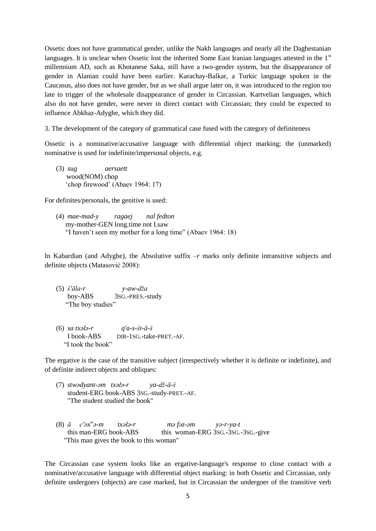Ossetic does not have grammatical gender, unlike the Nakh languages and nearly all the Daghestanian languages. It is unclear when Ossetic lost the inherited Some East Iranian languages attested in the 1<sup>st</sup> millennium AD, such as Khotanese Saka, still have a two-gender system, but the disappearance of gender in Alanian could have been earlier. Karachay-Balkar, a Turkic language spoken in the Caucasus, also does not have gender, but as we shall argue later on, it was introduced to the region too late to trigger of the wholesale disappearance of gender in Circassian. Kartvelian languages, which also do not have gender, were never in direct contact with Circassian; they could be expected to influence Abkhaz-Adyghe, which they did.

3. The development of the category of grammatical case fused with the category of definiteness

Ossetic is a nominative/accusative language with differential object marking; the (unmarked) nominative is used for indefinite/impersonal objects, e.g.

(3) *sug aersaett*  wood(NOM) chop "chop firewood" (Abaev 1964: 17)

For definites/personals, the genitive is used:

(4) *mae-mad-y ragaej nal fedton* my-mother-GEN long.time not I.saw "I haven"t seen my mother for a long time" (Abaev 1964: 18)

In Kabardian (and Adyghe), the Absolutive suffix *–r* marks only definite intransitive subjects and definite objects (Matasović 2008):

- (5) *ś'āla-r y-aw-dža* boy-ABS 3SG.-PRES.-study "The boy studies"
- (6) *sa txəłə-r q'a-s-śt-ā-ś* I book-ABS DIR-1SG.-take-PRET.-AF. "I took the book"

The ergative is the case of the transitive subject (irrespectively whether it is definite or indefinite), and of definite indirect objects and obliques:

- (7) *stwədyant-əm txəłə-r ya-dž-ā-ś* student-ERG book-ABS 3SG.-study-PRET.-AF. "The student studied the book"
- (8) *ā c'əx w ə-m txəłə-r mə fəz-əm yə-r-ya-t*  this man-ERG book-ABS this woman-ERG 3sG.-3sG.-3SG.-give "This man gives the book to this woman"

The Circassian case system looks like an ergative-language's response to close contact with a nominative/accusative language with differential object marking: in both Ossetic and Circassian, only definite undergoers (objects) are case marked, but in Circassian the undergoer of the transitive verb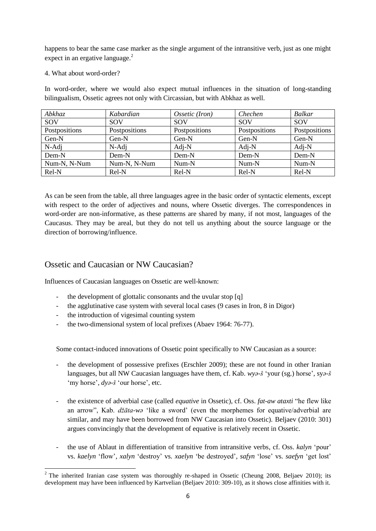happens to bear the same case marker as the single argument of the intransitive verb, just as one might expect in an ergative language. $^{2}$ 

### 4. What about word-order?

In word-order, where we would also expect mutual influences in the situation of long-standing bilingualism, Ossetic agrees not only with Circassian, but with Abkhaz as well.

| Abkhaz        | Kabardian     | Ossetic (Iron) | Chechen       | <b>Balkar</b> |
|---------------|---------------|----------------|---------------|---------------|
| SOV           | <b>SOV</b>    | <b>SOV</b>     | <b>SOV</b>    | SOV           |
| Postpositions | Postpositions | Postpositions  | Postpositions | Postpositions |
| Gen-N         | Gen-N         | Gen-N          | Gen-N         | Gen-N         |
| $N$ -Adj      | $N$ -Adj      | $Adj-N$        | $Adj-N$       | $Adj-N$       |
| Dem-N         | Dem-N         | Dem-N          | Dem-N         | Dem-N         |
| Num-N, N-Num  | Num-N, N-Num  | Num-N          | Num-N         | Num-N         |
| Rel-N         | Rel-N         | Rel-N          | Rel-N         | Rel-N         |

As can be seen from the table, all three languages agree in the basic order of syntactic elements, except with respect to the order of adjectives and nouns, where Ossetic diverges. The correspondences in word-order are non-informative, as these patterns are shared by many, if not most, languages of the Caucasus. They may be areal, but they do not tell us anything about the source language or the direction of borrowing/influence.

## Ossetic and Caucasian or NW Caucasian?

Influences of Caucasian languages on Ossetic are well-known:

- the development of glottalic consonants and the uvular stop [q]
- the agglutinative case system with several local cases (9 cases in Iron, 8 in Digor)
- the introduction of vigesimal counting system
- the two-dimensional system of local prefixes (Abaev 1964: 76-77).

Some contact-induced innovations of Ossetic point specifically to NW Caucasian as a source:

- the development of possessive prefixes (Erschler 2009); these are not found in other Iranian languages, but all NW Caucasian languages have them, cf. Kab. *wya-š* 'your (sg.) horse', sya-š 'my horse', *dya-š* 'our horse', etc.
- the existence of adverbial case (called *equative* in Ossetic), cf. Oss. *fat-aw ataxti* "he flew like an arrow", Kab. *džāta-wə* "like a sword" (even the morphemes for equative/adverbial are similar, and may have been borrowed from NW Caucasian into Ossetic). Beljaev (2010: 301) argues convincingly that the development of equative is relatively recent in Ossetic.
- the use of Ablaut in differentiation of transitive from intransitive verbs, cf. Oss. *kalyn* 'pour' vs. *kaelyn* "flow", *xalyn* "destroy" vs. *xaelyn* "be destroyed", *safyn* "lose" vs. *saefyn* "get lost"

<sup>1</sup>  $2$  The inherited Iranian case system was thoroughly re-shaped in Ossetic (Cheung 2008, Beljaev 2010); its development may have been influenced by Kartvelian (Beljaev 2010: 309-10), as it shows close affinities with it.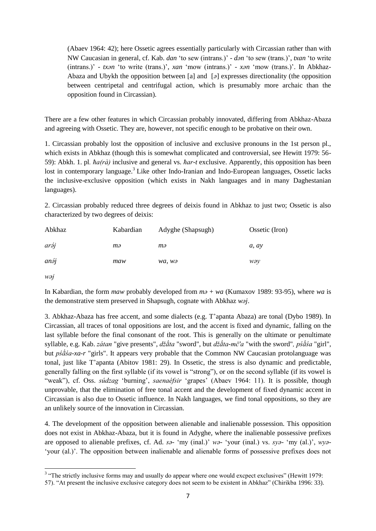(Abaev 1964: 42); here Ossetic agrees essentially particularly with Circassian rather than with NW Caucasian in general, cf. Kab. *dan* "to sew (intrans.)" - *dən* "to sew (trans.)", *txan* "to write (intrans.)' - *txan* 'to write (trans.)', *xan* 'mow (intrans.)' - *xan* 'mow (trans.)'. In Abkhaz-Abaza and Ubykh the opposition between [a] and [*ə*] expresses directionality (the opposition between centripetal and centrifugal action, which is presumably more archaic than the opposition found in Circassian).

There are a few other features in which Circassian probably innovated, differing from Abkhaz-Abaza and agreeing with Ossetic. They are, however, not specific enough to be probative on their own.

1. Circassian probably lost the opposition of inclusive and exclusive pronouns in the 1st person pl., which exists in Abkhaz (though this is somewhat complicated and controversial, see Hewitt 1979: 56- 59): Abkh. 1. pl*. ħa(rà)* inclusive and general vs. *ħar-t* exclusive. Apparently, this opposition has been lost in contemporary language.<sup>3</sup> Like other Indo-Iranian and Indo-European languages, Ossetic lacks the inclusive-exclusive opposition (which exists in Nakh languages and in many Daghestanian languages).

2. Circassian probably reduced three degrees of deixis found in Abkhaz to just two; Ossetic is also characterized by two degrees of deixis:

| Abkhaz       | Kabardian | Adyghe (Shapsugh) | Ossetic (Iron) |
|--------------|-----------|-------------------|----------------|
| aráj         | тә        | mә                | a, av          |
| $an\delta j$ | maw       | wa, wə            | wəy            |

*wǝj*

In Kabardian, the form *maw* probably developed from *mǝ* + *wa* (Kumaxov 1989: 93-95), where *wa* is the demonstrative stem preserved in Shapsugh, cognate with Abkhaz *waj*.

3. Abkhaz-Abaza has free accent, and some dialects (e.g. T"apanta Abaza) are tonal (Dybo 1989). In Circassian, all traces of tonal oppositions are lost, and the accent is fixed and dynamic, falling on the last syllable before the final consonant of the root. This is generally on the ultimate or penultimate syllable, e.g. Kab. *zátan* "give presents", *džāta* "sword", but *džāta-mč'a* "with the sword", *pśāśa* "girl", but *pśā́sa-xa-r* "girls". It appears very probable that the Common NW Caucasian protolanguage was tonal, just like T"apanta (Abitov 1981: 29). In Ossetic, the stress is also dynamic and predictable, generally falling on the first syllable (if its vowel is "strong"), or on the second syllable (if its vowel is "weak"), cf. Oss. *súdzag* "burning", *saenaéfsir* "grapes" (Abaev 1964: 11). It is possible, though unprovable, that the elimination of free tonal accent and the development of fixed dynamic accent in Circassian is also due to Ossetic influence. In Nakh languages, we find tonal oppositions, so they are an unlikely source of the innovation in Circassian.

4. The development of the opposition between alienable and inalienable possession. This opposition does not exist in Abkhaz-Abaza, but it is found in Adyghe, where the inalienable possessive prefixes are opposed to alienable prefixes, cf. Ad. *sǝ-* "my (inal.)" *wǝ-* "your (inal.) vs. *syǝ-* "my (al.)", *wyǝ-* 'your (al.)'. The opposition between inalienable and alienable forms of possessive prefixes does not

<sup>&</sup>lt;sup>3</sup> "The strictly inclusive forms may and usually do appear where one would excpect exclusives" (Hewitt 1979:

<sup>57). &</sup>quot;At present the inclusive exclusive category does not seem to be existent in Abkhaz" (Chirikba 1996: 33).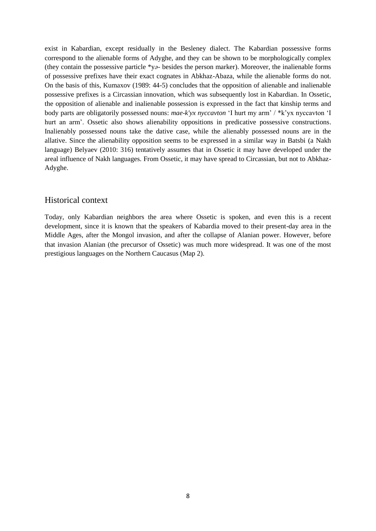exist in Kabardian, except residually in the Besleney dialect. The Kabardian possessive forms correspond to the alienable forms of Adyghe, and they can be shown to be morphologically complex (they contain the possessive particle \*y*ǝ-* besides the person marker). Moreover, the inalienable forms of possessive prefixes have their exact cognates in Abkhaz-Abaza, while the alienable forms do not. On the basis of this, Kumaxov (1989: 44-5) concludes that the opposition of alienable and inalienable possessive prefixes is a Circassian innovation, which was subsequently lost in Kabardian. In Ossetic, the opposition of alienable and inalienable possession is expressed in the fact that kinship terms and body parts are obligatorily possessed nouns: *mae-k'yx nyccavton* "I hurt my arm" / \*k"yx nyccavton "I hurt an arm". Ossetic also shows alienability oppositions in predicative possessive constructions. Inalienably possessed nouns take the dative case, while the alienably possessed nouns are in the allative. Since the alienability opposition seems to be expressed in a similar way in Batsbi (a Nakh language) Belyaev (2010: 316) tentatively assumes that in Ossetic it may have developed under the areal influence of Nakh languages. From Ossetic, it may have spread to Circassian, but not to Abkhaz-Adyghe.

### Historical context

Today, only Kabardian neighbors the area where Ossetic is spoken, and even this is a recent development, since it is known that the speakers of Kabardia moved to their present-day area in the Middle Ages, after the Mongol invasion, and after the collapse of Alanian power. However, before that invasion Alanian (the precursor of Ossetic) was much more widespread. It was one of the most prestigious languages on the Northern Caucasus (Map 2).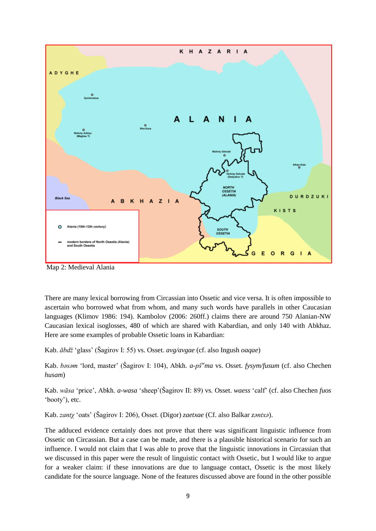

Map 2: Medieval Alania

There are many lexical borrowing from Circassian into Ossetic and vice versa. It is often impossible to ascertain who borrowed what from whom, and many such words have parallels in other Caucasian languages (Klimov 1986: 194). Kambolov (2006: 260ff.) claims there are around 750 Alanian-NW Caucasian lexical isoglosses, 480 of which are shared with Kabardian, and only 140 with Abkhaz. Here are some examples of probable Ossetic loans in Kabardian:

Kab. *ābdž* "glass" (Šagirov I: 55) vs. Osset. *avg/avgae* (cf. also Ingush *oaqae*)

Kab. *b*asam 'lord, master' (Šagirov I: 104), Abkh. *a-pš<sup>w</sup>ma* vs. Osset. *fysym/fusum* (cf. also Chechen *husam*)

Kab. *wāsa* "price", Abkh. *a-wasa* "sheep"(Šagirov II: 89) vs. Osset. *waess* "calf" (cf. also Chechen *fuos*  "booty"), etc.

Kab. *zantχ* "oats" (Šagirov I: 206), Osset. (Digor) *zaetxae* (Cf. also Balkar *zǝntxǝ*).

The adduced evidence certainly does not prove that there was significant linguistic influence from Ossetic on Circassian. But a case can be made, and there is a plausible historical scenario for such an influence. I would not claim that I was able to prove that the linguistic innovations in Circassian that we discussed in this paper were the result of linguistic contact with Ossetic, but I would like to argue for a weaker claim: if these innovations are due to language contact, Ossetic is the most likely candidate for the source language. None of the features discussed above are found in the other possible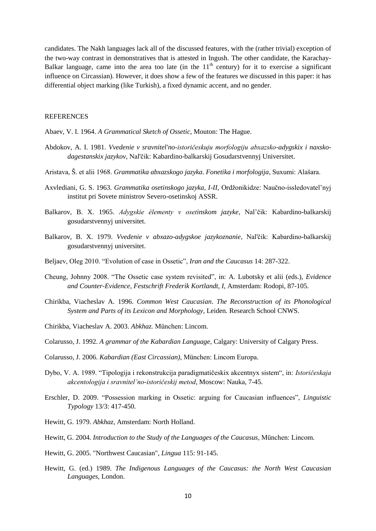candidates. The Nakh languages lack all of the discussed features, with the (rather trivial) exception of the two-way contrast in demonstratives that is attested in Ingush. The other candidate, the Karachay-Balkar language, came into the area too late (in the  $11<sup>th</sup>$  century) for it to exercise a significant influence on Circassian). However, it does show a few of the features we discussed in this paper: it has differential object marking (like Turkish), a fixed dynamic accent, and no gender.

#### **REFERENCES**

- Abaev, V. I. 1964. *A Grammatical Sketch of Ossetic*, Mouton: The Hague.
- Abdokov, A. I. 1981. *Vvedenie v sravnitel'no-istoričeskuju morfologiju abxazsko-adygskix i naxskodagestanskix jazykov*, Nal'čik: Kabardino-balkarskij Gosudarstvennyj Universitet.
- Aristava, Š. et alii 1968. *Grammatika abxazskogo jazyka*. *Fonetika i morfologija*, Suxumi: Alašara.
- Axvlediani, G. S. 1963. *Grammatika osetinskogo jazyka, I-II,* Ordžonikidze: Naučno-issledovatel"nyj institut pri Sovete ministrov Severo-osetinskoj ASSR.
- Balkarov, B. X. 1965. *Adygskie èlementy v osetinskom jazyke*, Nal"čik: Kabardino-balkarskij gosudarstvennyj universitet.
- Balkarov, B. X. 1979. *Vvedenie v abxazo-adygskoe jazykoznanie*, Nal'čik: Kabardino-balkarskij gosudarstvennyj universitet.
- Beljaev, Oleg 2010. "Evolution of case in Ossetic", *Iran and the Caucasus* 14: 287-322.
- Cheung, Johnny 2008. "The Ossetic case system revisited", in: A. Lubotsky et alii (eds.), *Evidence and Counter-Evidence, Festschrift Frederik Kortlandt, I,* Amsterdam: Rodopi, 87-105.
- Chirikba, Viacheslav A. 1996. *Common West Caucasian*. *The Reconstruction of its Phonological System and Parts of its Lexicon and Morphology,* Leiden. Research School CNWS.
- Chirikba, Viacheslav A. 2003. *Abkhaz.* München: Lincom.
- Colarusso, J. 1992. *A grammar of the Kabardian Language*, Calgary: University of Calgary Press.
- Colarusso, J. 2006. *Kabardian (East Circassian)*, München: Lincom Europa.
- Dybo, V. A. 1989. "Tipologija i rekonstrukcija paradigmatičeskix akcentnyx sistem", in: *Istoričeskaja akcentologija i sravnitel'no-istoričeskij metod*, Moscow: Nauka, 7-45.
- Erschler, D. 2009. "Possession marking in Ossetic: arguing for Caucasian influences", *Linguistic Typology* 13/3: 417-450.
- Hewitt, G. 1979. *Abkhaz,* Amsterdam: North Holland.
- Hewitt, G. 2004. *Introduction to the Study of the Languages of the Caucasus*, München: Lincom.
- Hewitt, G. 2005. "Northwest Caucasian", *Lingua* 115: 91-145.
- Hewitt, G. (ed.) 1989. *The Indigenous Languages of the Caucasus: the North West Caucasian Languages*, London.